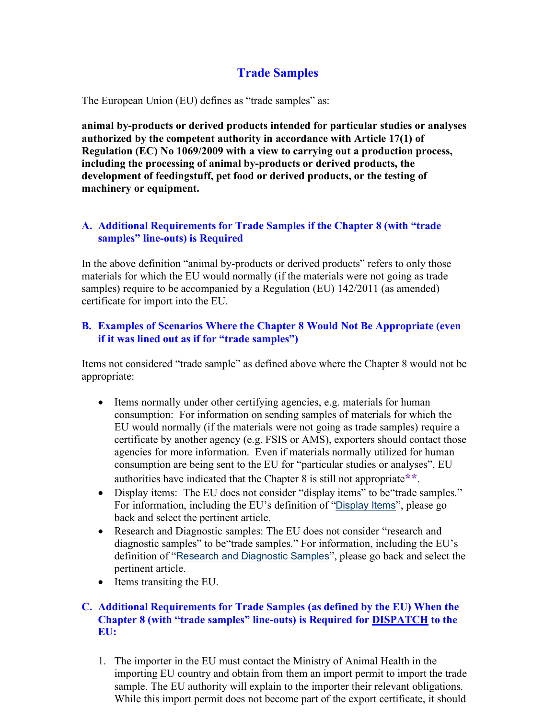# **Trade Samples**

The European Union (EU) defines as "trade samples" as:

 **development of feedingstuff, pet food or derived products, or the testing of machinery or equipment. animal by-products or derived products intended for particular studies or analyses authorized by the competent authority in accordance with Article 17(1) of Regulation (EC) No 1069/2009 with a view to carrying out a production process, including the processing of animal by-products or derived products, the** 

## **samples" line-outs) is Required A. Additional Requirements for Trade Samples if the Chapter 8 (with "trade**

In the above definition "animal by-products or derived products" refers to only those materials for which the EU would normally (if the materials were not going as trade samples) require to be accompanied by a Regulation (EU) 142/2011 (as amended) certificate for import into the EU.

# **B. Examples of Scenarios Where the Chapter 8 Would Not Be Appropriate (even if it was lined out as if for "trade samples")**

Items not considered "trade sample" as defined above where the Chapter 8 would not be appropriate:

- agencies for more information. Even if materials normally utilized for human • Items normally under other certifying agencies, e.g. materials for human consumption: For information on sending samples of materials for which the EU would normally (if the materials were not going as trade samples) require a certificate by another agency (e.g. FSIS or AMS), exporters should contact those consumption are being sent to the EU for "particular studies or analyses", EU authorities have indicated that the Chapter 8 is still not appropriate**\*\***.
- • Display items: The EU does not consider "display items" to be"trade samples." back and select the pertinent article. For information, including the EU's definition of "[Display Items](https://www.aphis.usda.gov/regulations/vs/iregs/products/downloads/ee_d_i.pdf)", please go
- • Research and Diagnostic samples: The EU does not consider "research and diagnostic samples" to be"trade samples." For information, including the EU's definition of "[Research and Diagnostic Samples](https://www.aphis.usda.gov/regulations/vs/iregs/products/downloads/ee_re_diag_sa.pdf)", please go back and select the pertinent article.
- Items transiting the EU.

### **EU: C. Additional Requirements for Trade Samples (as defined by the EU) When the Chapter 8 (with "trade samples" line-outs) is Required for DISPATCH to the**

1. The importer in the EU must contact the Ministry of Animal Health in the importing EU country and obtain from them an import permit to import the trade sample. The EU authority will explain to the importer their relevant obligations. While this import permit does not become part of the export certificate, it should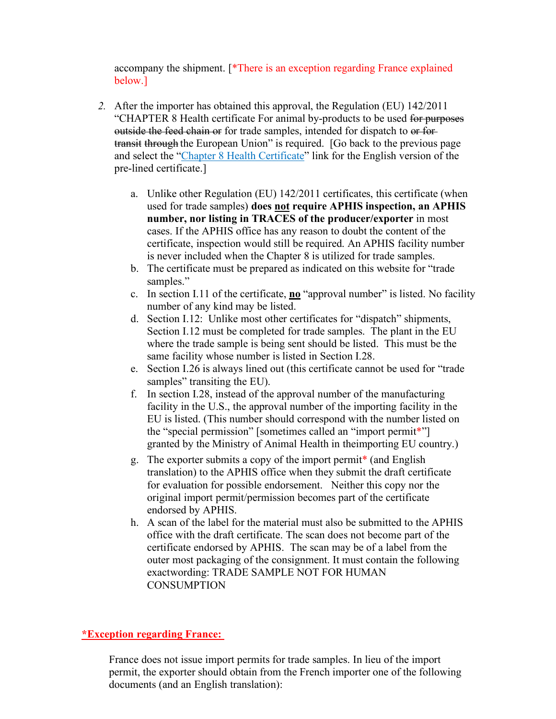accompany the shipment. [\*There is an exception regarding France explained below.]

- *2.* After the importer has obtained this approval, the Regulation (EU) 142/2011 transit through the European Union" is required. [Go back to the previous page "CHAPTER 8 Health certificate For animal by-products to be used for purposes outside the feed chain or for trade samples, intended for dispatch to or forand select the "Chapter 8 Health Certificate" link for the English version of the pre-lined certificate.]
	- a. Unlike other Regulation (EU) 142/2011 certificates, this certificate (when certificate, inspection would still be required. An APHIS facility number used for trade samples) **does not require APHIS inspection, an APHIS number, nor listing in TRACES of the producer/exporter** in most cases. If the APHIS office has any reason to doubt the content of the is never included when the Chapter 8 is utilized for trade samples.
	- b. The certificate must be prepared as indicated on this website for "trade samples."
	- c. In section I.11 of the certificate, **no** "approval number" is listed. No facility number of any kind may be listed.
	- where the trade sample is being sent should be listed. This must be the d. Section I.12: Unlike most other certificates for "dispatch" shipments, Section I.12 must be completed for trade samples. The plant in the EU same facility whose number is listed in Section I.28.
	- e. Section I.26 is always lined out (this certificate cannot be used for "trade samples" transiting the EU).
	- granted by the Ministry of Animal Health in theimporting EU country.) f. In section I.28, instead of the approval number of the manufacturing facility in the U.S., the approval number of the importing facility in the EU is listed. (This number should correspond with the number listed on the "special permission" [sometimes called an "import permit\*"]
	- translation) to the APHIS office when they submit the draft certificate for evaluation for possible endorsement. Neither this copy nor the g. The exporter submits a copy of the import permit\* (and English original import permit/permission becomes part of the certificate endorsed by APHIS.
	- certificate endorsed by APHIS. The scan may be of a label from the outer most packaging of the consignment. It must contain the following exactwording: TRADE SAMPLE NOT FOR HUMAN h. A scan of the label for the material must also be submitted to the APHIS office with the draft certificate. The scan does not become part of the **CONSUMPTION**

#### **\*Exception regarding France:**

 France does not issue import permits for trade samples. In lieu of the import permit, the exporter should obtain from the French importer one of the following documents (and an English translation):